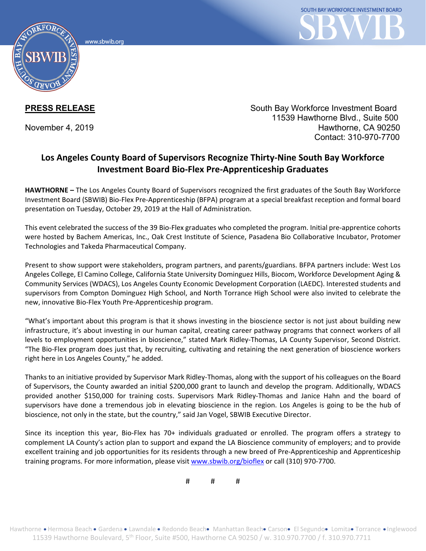www.sbwib.orc



**PRESS RELEASE** South Bay Workforce Investment Board 11539 Hawthorne Blvd., Suite 500 November 4, 2019 **Hawthorne, CA 90250** Contact: 310-970-7700

## **Los Angeles County Board of Supervisors Recognize Thirty-Nine South Bay Workforce Investment Board Bio-Flex Pre-Apprenticeship Graduates**

**HAWTHORNE –** The Los Angeles County Board of Supervisors recognized the first graduates of the South Bay Workforce Investment Board (SBWIB) Bio-Flex Pre-Apprenticeship (BFPA) program at a special breakfast reception and formal board presentation on Tuesday, October 29, 2019 at the Hall of Administration.

This event celebrated the success of the 39 Bio-Flex graduates who completed the program. Initial pre-apprentice cohorts were hosted by Bachem Americas, Inc., Oak Crest Institute of Science, Pasadena Bio Collaborative Incubator, Protomer Technologies and Takeda Pharmaceutical Company.

Present to show support were stakeholders, program partners, and parents/guardians. BFPA partners include: West Los Angeles College, El Camino College, California State University Dominguez Hills, Biocom, Workforce Development Aging & Community Services (WDACS), Los Angeles County Economic Development Corporation (LAEDC). Interested students and supervisors from Compton Dominguez High School, and North Torrance High School were also invited to celebrate the new, innovative Bio-Flex Youth Pre-Apprenticeship program.

"What's important about this program is that it shows investing in the bioscience sector is not just about building new infrastructure, it's about investing in our human capital, creating career pathway programs that connect workers of all levels to employment opportunities in bioscience," stated Mark Ridley-Thomas, LA County Supervisor, Second District. "The Bio-Flex program does just that, by recruiting, cultivating and retaining the next generation of bioscience workers right here in Los Angeles County," he added.

Thanks to an initiative provided by Supervisor Mark Ridley-Thomas, along with the support of his colleagues on the Board of Supervisors, the County awarded an initial \$200,000 grant to launch and develop the program. Additionally, WDACS provided another \$150,000 for training costs. Supervisors Mark Ridley-Thomas and Janice Hahn and the board of supervisors have done a tremendous job in elevating bioscience in the region. Los Angeles is going to be the hub of bioscience, not only in the state, but the country," said Jan Vogel, SBWIB Executive Director.

Since its inception this year, Bio-Flex has 70+ individuals graduated or enrolled. The program offers a strategy to complement LA County's action plan to support and expand the LA Bioscience community of employers; and to provide excellent training and job opportunities for its residents through a new breed of Pre-Apprenticeship and Apprenticeship training programs. For more information, please visit [www.sbwib.org/bioflex](http://www.sbwib.org/bioflex) or call (310) 970-7700.

# # #